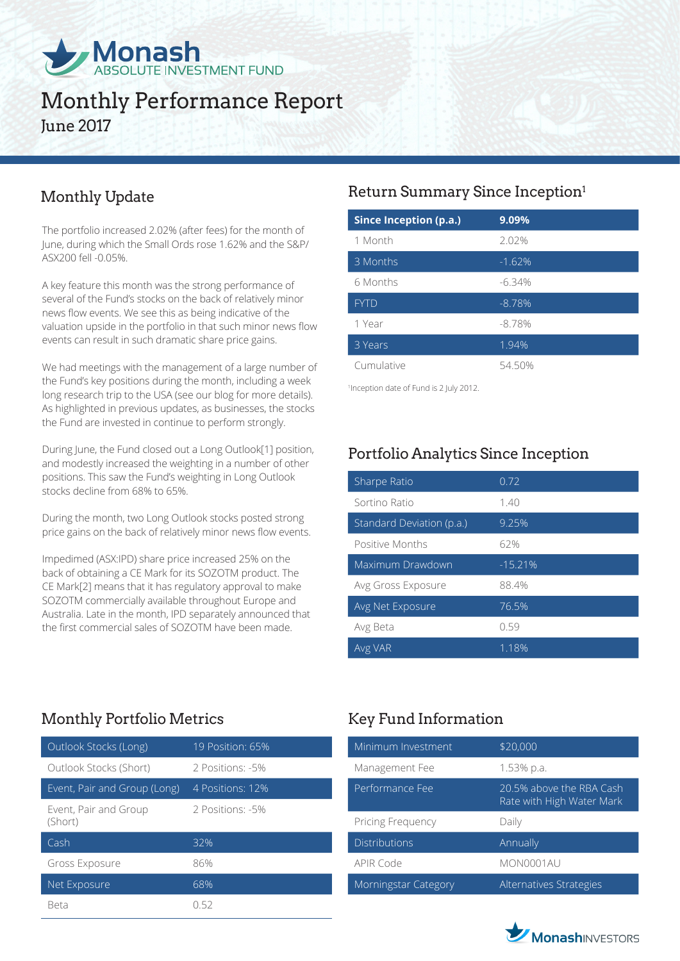

# Monthly Performance Report June 2017

## Monthly Update

The portfolio increased 2.02% (after fees) for the month of June, during which the Small Ords rose 1.62% and the S&P/ ASX200 fell -0.05%.

A key feature this month was the strong performance of several of the Fund's stocks on the back of relatively minor news flow events. We see this as being indicative of the valuation upside in the portfolio in that such minor news flow events can result in such dramatic share price gains.

We had meetings with the management of a large number of the Fund's key positions during the month, including a week long research trip to the USA (see our blog for more details). As highlighted in previous updates, as businesses, the stocks the Fund are invested in continue to perform strongly.

During June, the Fund closed out a Long Outlook[1] position, and modestly increased the weighting in a number of other positions. This saw the Fund's weighting in Long Outlook stocks decline from 68% to 65%.

During the month, two Long Outlook stocks posted strong price gains on the back of relatively minor news flow events.

Impedimed (ASX:IPD) share price increased 25% on the back of obtaining a CE Mark for its SOZOTM product. The CE Mark[2] means that it has regulatory approval to make SOZOTM commercially available throughout Europe and Australia. Late in the month, IPD separately announced that the first commercial sales of SOZOTM have been made.

## Return Summary Since Inception1

| <b>Since Inception (p.a.)</b> | 9.09%    |
|-------------------------------|----------|
| 1 Month                       | 2.02%    |
| 3 Months                      | $-1.62%$ |
| 6 Months                      | $-6.34%$ |
| <b>FYTD</b>                   | $-8.78%$ |
| 1 Year                        | $-8.78%$ |
| 3 Years                       | 1.94%    |
| Cumulative                    | 54.50%   |

1 Inception date of Fund is 2 July 2012.

## Portfolio Analytics Since Inception

| Sharpe Ratio              | 0.72      |
|---------------------------|-----------|
| Sortino Ratio             | 1.40      |
| Standard Deviation (p.a.) | 9.25%     |
| Positive Months           | 62%       |
| Maximum Drawdown          | $-15.21%$ |
| Avg Gross Exposure        | 88.4%     |
| Avg Net Exposure          | 76.5%     |
| Avg Beta                  | 0.59      |
| Avg VAR                   | 1.18%     |

## Monthly Portfolio Metrics Key Fund Information

| Outlook Stocks (Long)            | 19 Position: 65% |
|----------------------------------|------------------|
| Outlook Stocks (Short)           | 2 Positions: -5% |
| Event, Pair and Group (Long)     | 4 Positions: 12% |
| Event, Pair and Group<br>(Short) | 2 Positions: -5% |
| Cash                             | 32%              |
| Gross Exposure                   | 86%              |
| Net Exposure                     | 68%              |
| Beta                             | () 52            |

| Minimum Investment          | \$20,000                                              |
|-----------------------------|-------------------------------------------------------|
| Management Fee              | 1.53% p.a.                                            |
| Performance Fee             | 20.5% above the RBA Cash<br>Rate with High Water Mark |
| Pricing Frequency           | Daily                                                 |
| <b>Distributions</b>        | Annually                                              |
| <b>APIR Code</b>            | MON0001AU                                             |
| <b>Morningstar Category</b> | Alternatives Strategies                               |

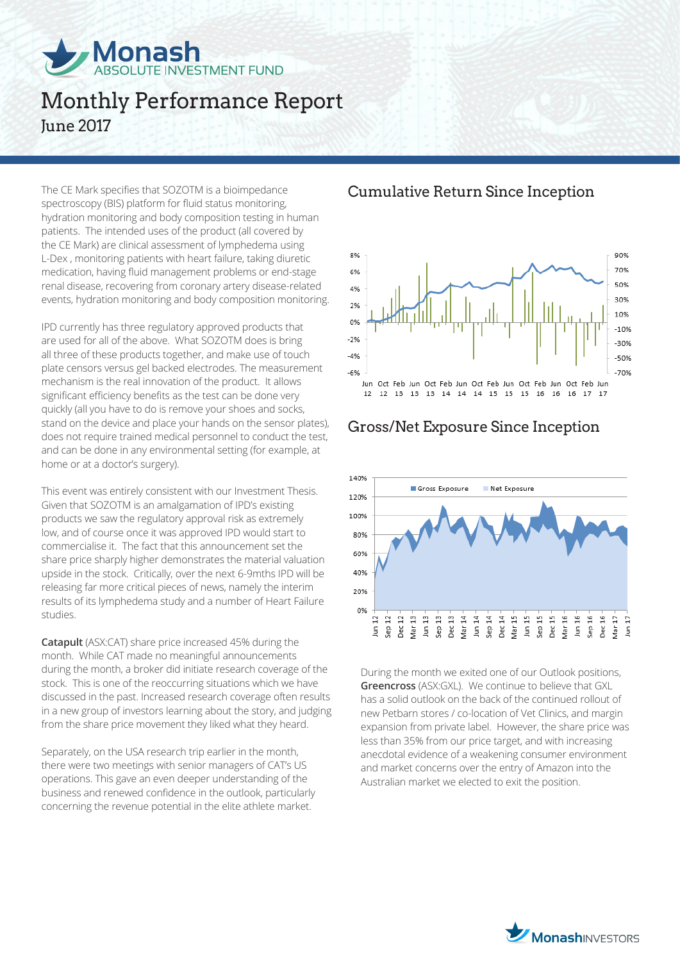

# Monthly Performance Report June 2017

The CE Mark specifies that SOZOTM is a bioimpedance spectroscopy (BIS) platform for fluid status monitoring, hydration monitoring and body composition testing in human patients. The intended uses of the product (all covered by the CE Mark) are clinical assessment of lymphedema using L-Dex , monitoring patients with heart failure, taking diuretic medication, having fluid management problems or end-stage renal disease, recovering from coronary artery disease-related events, hydration monitoring and body composition monitoring.

IPD currently has three regulatory approved products that are used for all of the above. What SOZOTM does is bring all three of these products together, and make use of touch plate censors versus gel backed electrodes. The measurement mechanism is the real innovation of the product. It allows significant efficiency benefits as the test can be done very quickly (all you have to do is remove your shoes and socks, stand on the device and place your hands on the sensor plates), does not require trained medical personnel to conduct the test, and can be done in any environmental setting (for example, at home or at a doctor's surgery).

This event was entirely consistent with our Investment Thesis. Given that SOZOTM is an amalgamation of IPD's existing products we saw the regulatory approval risk as extremely low, and of course once it was approved IPD would start to commercialise it. The fact that this announcement set the share price sharply higher demonstrates the material valuation upside in the stock. Critically, over the next 6-9mths IPD will be releasing far more critical pieces of news, namely the interim results of its lymphedema study and a number of Heart Failure studies.

**Catapult** (ASX:CAT) share price increased 45% during the month. While CAT made no meaningful announcements during the month, a broker did initiate research coverage of the stock. This is one of the reoccurring situations which we have discussed in the past. Increased research coverage often results in a new group of investors learning about the story, and judging from the share price movement they liked what they heard.

Separately, on the USA research trip earlier in the month, there were two meetings with senior managers of CAT's US operations. This gave an even deeper understanding of the business and renewed confidence in the outlook, particularly concerning the revenue potential in the elite athlete market.

#### Cumulative Return Since Inception



#### Gross/Net Exposure Since Inception



During the month we exited one of our Outlook positions, **Greencross** (ASX:GXL). We continue to believe that GXL has a solid outlook on the back of the continued rollout of new Petbarn stores / co-location of Vet Clinics, and margin expansion from private label. However, the share price was less than 35% from our price target, and with increasing anecdotal evidence of a weakening consumer environment and market concerns over the entry of Amazon into the Australian market we elected to exit the position.